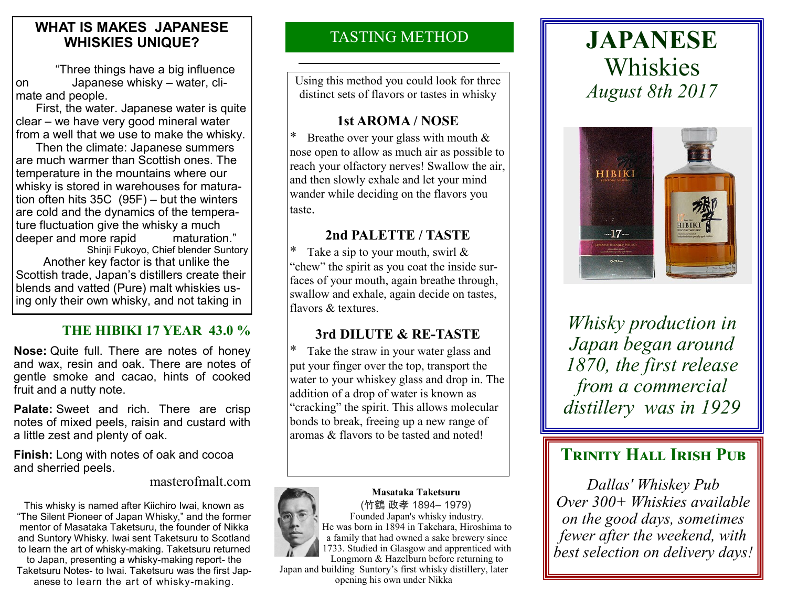## **WHAT IS MAKES JAPANESE WHISKIES UNIQUE?**

 "Three things have a big influence on Japanese whisky – water, climate and people.

 First, the water. Japanese water is quite clear – we have very good mineral water from a well that we use to make the whisky.

 Then the climate: Japanese summers are much warmer than Scottish ones. The temperature in the mountains where our whisky is stored in warehouses for maturation often hits 35C (95F) – but the winters are cold and the dynamics of the temperature fluctuation give the whisky a much deeper and more rapid maturation." Shinji Fukoyo, Chief blender Suntory

 Another key factor is that unlike the Scottish trade, Japan's distillers create their blends and vatted (Pure) malt whiskies using only their own whisky, and not taking in

# **THE HIBIKI 17 YEAR 43.0 %**

**Nose:** Quite full. There are notes of honey and wax, resin and oak. There are notes of gentle smoke and cacao, hints of cooked fruit and a nutty note.

**Palate:** Sweet and rich. There are crisp notes of mixed peels, raisin and custard with a little zest and plenty of oak.

**Finish:** Long with notes of oak and cocoa and sherried peels.

#### masterofmalt.com

This whisky is named after Kiichiro Iwai, known as "The Silent Pioneer of Japan Whisky," and the former mentor of Masataka Taketsuru, the founder of Nikka and Suntory Whisky. Iwai sent Taketsuru to Scotland to learn the art of whisky-making. Taketsuru returned to Japan, presenting a whisky-making report- the Taketsuru Notes- to Iwai. Taketsuru was the first Japanese to learn the art of whisky-making.

# TASTING METHOD

Using this method you could look for three distinct sets of flavors or tastes in whisky

#### **1st AROMA / NOSE**

Breathe over your glass with mouth  $&$ nose open to allow as much air as possible to reach your olfactory nerves! Swallow the air, and then slowly exhale and let your mind wander while deciding on the flavors you taste.

#### **2nd PALETTE / TASTE**

\* Take a sip to your mouth, swirl  $\&$ "chew" the spirit as you coat the inside surfaces of your mouth, again breathe through, swallow and exhale, again decide on tastes, flavors & textures.

## **3rd DILUTE & RE-TASTE**

\* Take the straw in your water glass and put your finger over the top, transport the water to your whiskey glass and drop in. The addition of a drop of water is known as "cracking" the spirit. This allows molecular bonds to break, freeing up a new range of aromas & flavors to be tasted and noted!



**Masataka Taketsuru** (竹鶴 政孝 1894– 1979) Founded Japan's whisky industry. He was born in 1894 in Takehara, Hiroshima to a family that had owned a sake brewery since 1733. Studied in Glasgow and apprenticed with Longmorn & Hazelburn before returning to

Japan and building Suntory's first whisky distillery, later opening his own under Nikka

# **JAPANESE** Whiskies *August 8th 2017*



*Whisky production in Japan began around 1870, the first release from a commercial distillery was in 1929*

# **TRINITY HALL IRISH PUB**

*Dallas' Whiskey Pub Over 300+ Whiskies available on the good days, sometimes fewer after the weekend, with best selection on delivery days!*